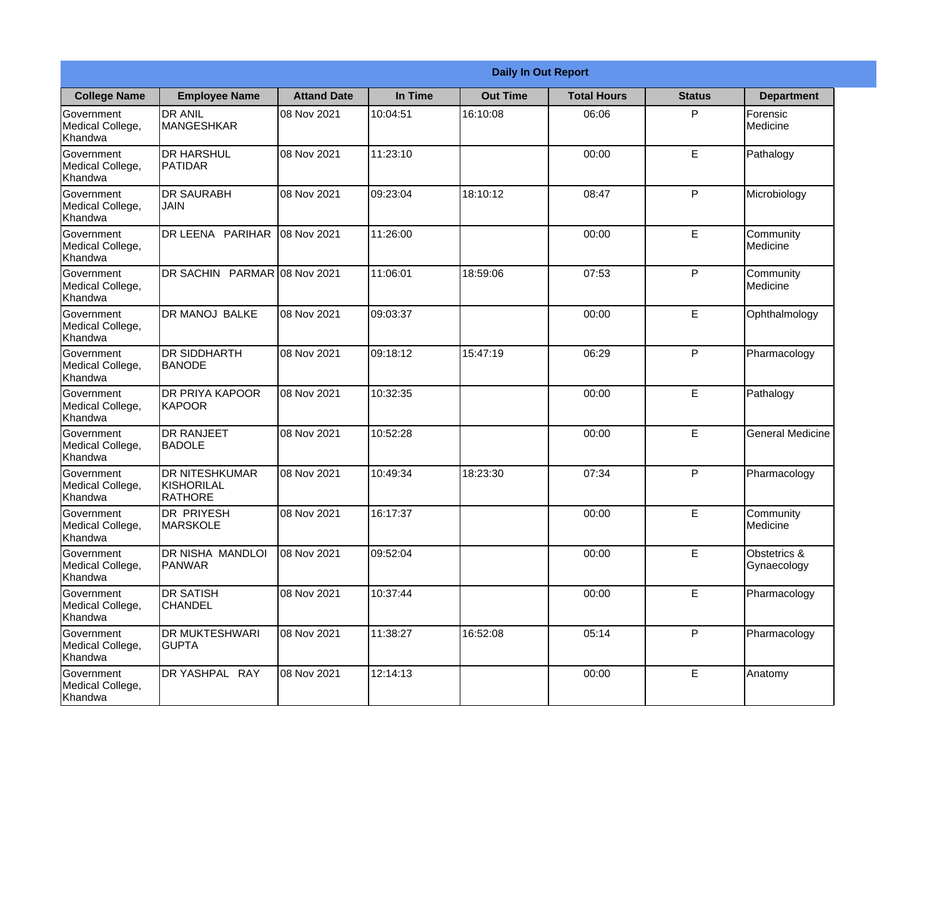|                                                  | <b>Daily In Out Report</b>                     |                    |           |                 |                    |               |                             |
|--------------------------------------------------|------------------------------------------------|--------------------|-----------|-----------------|--------------------|---------------|-----------------------------|
| <b>College Name</b>                              | <b>Employee Name</b>                           | <b>Attand Date</b> | In Time   | <b>Out Time</b> | <b>Total Hours</b> | <b>Status</b> | <b>Department</b>           |
| Government<br>Medical College,<br>Khandwa        | <b>DR ANIL</b><br>MANGESHKAR                   | 08 Nov 2021        | 10:04:51  | 16:10:08        | 06:06              | P             | Forensic<br>Medicine        |
| Government<br>Medical College,<br>Khandwa        | <b>DR HARSHUL</b><br>PATIDAR                   | 08 Nov 2021        | 11:23:10  |                 | 00:00              | E             | Pathalogy                   |
| <b>Government</b><br>Medical College,<br>Khandwa | <b>DR SAURABH</b><br>JAIN                      | 08 Nov 2021        | 109:23:04 | 18:10:12        | 08:47              | P             | Microbiology                |
| <b>Government</b><br>Medical College,<br>Khandwa | DR LEENA PARIHAR                               | 08 Nov 2021        | 11:26:00  |                 | 00:00              | E             | Community<br>Medicine       |
| Government<br>Medical College,<br>Khandwa        | DR SACHIN PARMAR 08 Nov 2021                   |                    | 11:06:01  | 18:59:06        | 07:53              | P             | Community<br>Medicine       |
| Government<br>Medical College,<br>Khandwa        | <b>DR MANOJ BALKE</b>                          | 08 Nov 2021        | 09:03:37  |                 | 00:00              | E             | Ophthalmology               |
| Government<br>Medical College,<br>Khandwa        | <b>DR SIDDHARTH</b><br><b>BANODE</b>           | 08 Nov 2021        | 09:18:12  | 15:47:19        | 06:29              | P             | Pharmacology                |
| Government<br>Medical College,<br>Khandwa        | <b>DR PRIYA KAPOOR</b><br><b>KAPOOR</b>        | 08 Nov 2021        | 10:32:35  |                 | 00:00              | E             | Pathalogy                   |
| Government<br>Medical College,<br>Khandwa        | <b>DR RANJEET</b><br><b>BADOLE</b>             | 08 Nov 2021        | 10:52:28  |                 | 00:00              | E             | <b>General Medicine</b>     |
| Government<br>Medical College,<br>Khandwa        | <b>DR NITESHKUMAR</b><br>KISHORILAL<br>RATHORE | 08 Nov 2021        | 10:49:34  | 18:23:30        | 07:34              | $\mathsf{P}$  | Pharmacology                |
| Government<br>Medical College,<br>Khandwa        | <b>DR PRIYESH</b><br>MARSKOLE                  | 08 Nov 2021        | 16:17:37  |                 | 00:00              | E             | Community<br>Medicine       |
| Government<br>Medical College,<br>Khandwa        | <b>DR NISHA MANDLOI</b><br><b>PANWAR</b>       | 08 Nov 2021        | 09:52:04  |                 | 00:00              | E             | Obstetrics &<br>Gynaecology |
| Government<br>Medical College,<br>Khandwa        | <b>DR SATISH</b><br><b>CHANDEL</b>             | 08 Nov 2021        | 10:37:44  |                 | 00:00              | E             | Pharmacology                |
| Government<br>Medical College,<br>Khandwa        | <b>DR MUKTESHWARI</b><br><b>GUPTA</b>          | 08 Nov 2021        | 11:38:27  | 16:52:08        | 05:14              | P             | Pharmacology                |
| Government<br>Medical College,<br>Khandwa        | DR YASHPAL RAY                                 | 08 Nov 2021        | 12:14:13  |                 | 00:00              | E             | Anatomy                     |